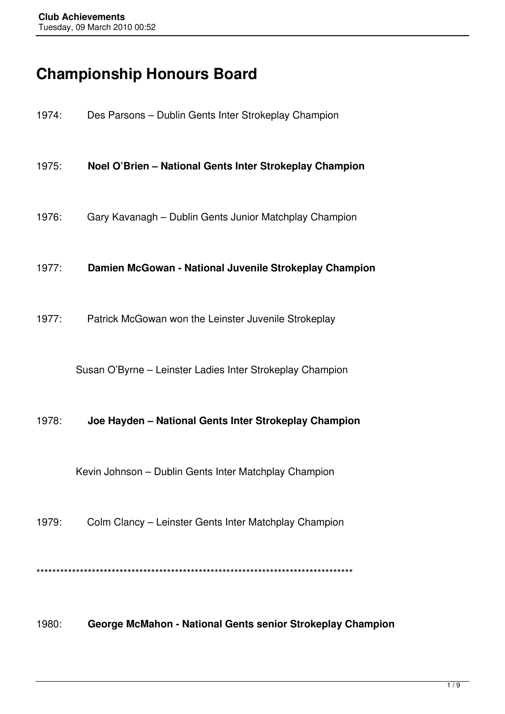# **Championship Honours Board**

| 1974: | Des Parsons - Dublin Gents Inter Strokeplay Champion       |
|-------|------------------------------------------------------------|
| 1975: | Noel O'Brien - National Gents Inter Strokeplay Champion    |
| 1976: | Gary Kavanagh – Dublin Gents Junior Matchplay Champion     |
| 1977: | Damien McGowan - National Juvenile Strokeplay Champion     |
| 1977: | Patrick McGowan won the Leinster Juvenile Strokeplay       |
|       | Susan O'Byrne – Leinster Ladies Inter Strokeplay Champion  |
| 1978: | Joe Hayden - National Gents Inter Strokeplay Champion      |
|       | Kevin Johnson – Dublin Gents Inter Matchplay Champion      |
| 1979: | Colm Clancy – Leinster Gents Inter Matchplay Champion      |
|       |                                                            |
| 1980: | George McMahon - National Gents senior Strokeplay Champion |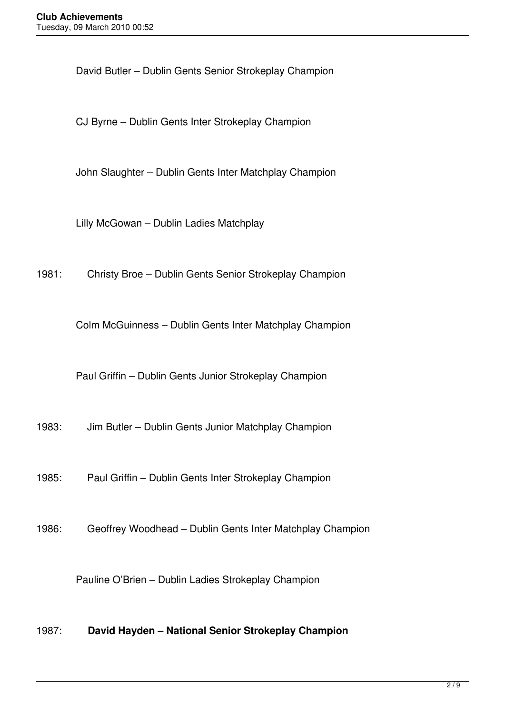David Butler – Dublin Gents Senior Strokeplay Champion

CJ Byrne – Dublin Gents Inter Strokeplay Champion

John Slaughter – Dublin Gents Inter Matchplay Champion

Lilly McGowan – Dublin Ladies Matchplay

1981: Christy Broe – Dublin Gents Senior Strokeplay Champion

Colm McGuinness – Dublin Gents Inter Matchplay Champion

Paul Griffin – Dublin Gents Junior Strokeplay Champion

1983: Jim Butler – Dublin Gents Junior Matchplay Champion

1985: Paul Griffin – Dublin Gents Inter Strokeplay Champion

1986: Geoffrey Woodhead – Dublin Gents Inter Matchplay Champion

Pauline O'Brien – Dublin Ladies Strokeplay Champion

1987: **David Hayden – National Senior Strokeplay Champion**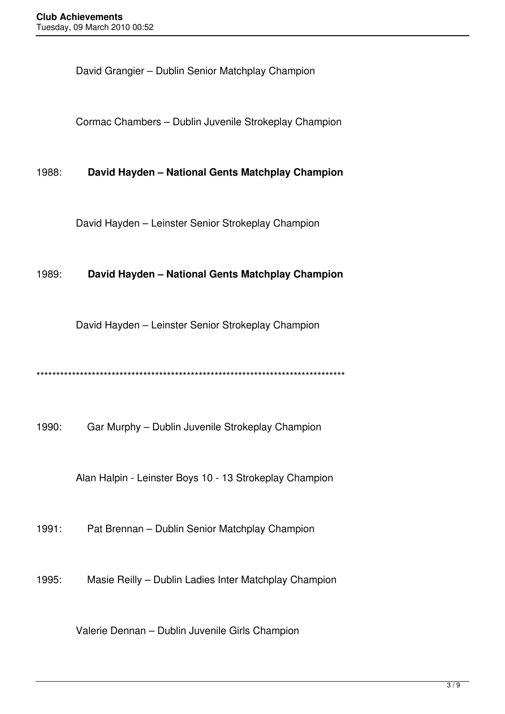David Grangier – Dublin Senior Matchplay Champion

Cormac Chambers – Dublin Juvenile Strokeplay Champion

1988: **David Hayden – National Gents Matchplay Champion**

David Hayden – Leinster Senior Strokeplay Champion

#### 1989: **David Hayden – National Gents Matchplay Champion**

David Hayden – Leinster Senior Strokeplay Champion

\*\*\*\*\*\*\*\*\*\*\*\*\*\*\*\*\*\*\*\*\*\*\*\*\*\*\*\*\*\*\*\*\*\*\*\*\*\*\*\*\*\*\*\*\*\*\*\*\*\*\*\*\*\*\*\*\*\*\*\*\*\*\*\*\*\*\*\*\*\*\*\*\*\*\*\*\*\*

1990: Gar Murphy – Dublin Juvenile Strokeplay Champion

Alan Halpin - Leinster Boys 10 - 13 Strokeplay Champion

1991: Pat Brennan – Dublin Senior Matchplay Champion

1995: Masie Reilly – Dublin Ladies Inter Matchplay Champion

Valerie Dennan – Dublin Juvenile Girls Champion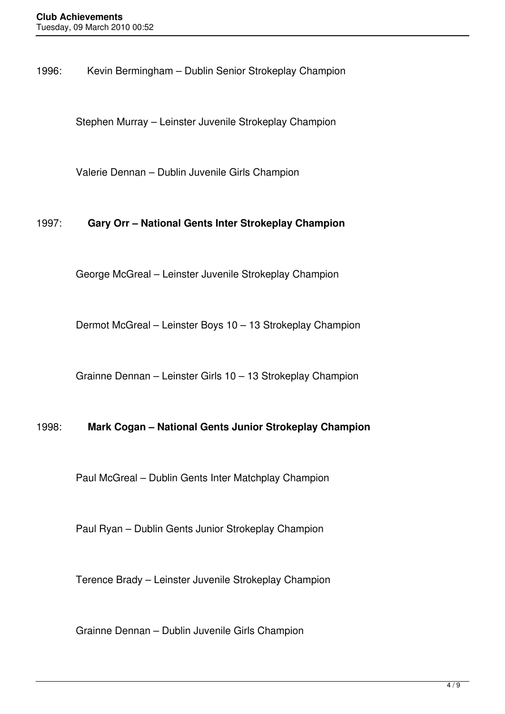1996: Kevin Bermingham – Dublin Senior Strokeplay Champion

Stephen Murray – Leinster Juvenile Strokeplay Champion

Valerie Dennan – Dublin Juvenile Girls Champion

## 1997: **Gary Orr – National Gents Inter Strokeplay Champion**

George McGreal – Leinster Juvenile Strokeplay Champion

Dermot McGreal – Leinster Boys 10 – 13 Strokeplay Champion

Grainne Dennan – Leinster Girls 10 – 13 Strokeplay Champion

#### 1998: **Mark Cogan – National Gents Junior Strokeplay Champion**

Paul McGreal – Dublin Gents Inter Matchplay Champion

Paul Ryan – Dublin Gents Junior Strokeplay Champion

Terence Brady – Leinster Juvenile Strokeplay Champion

Grainne Dennan – Dublin Juvenile Girls Champion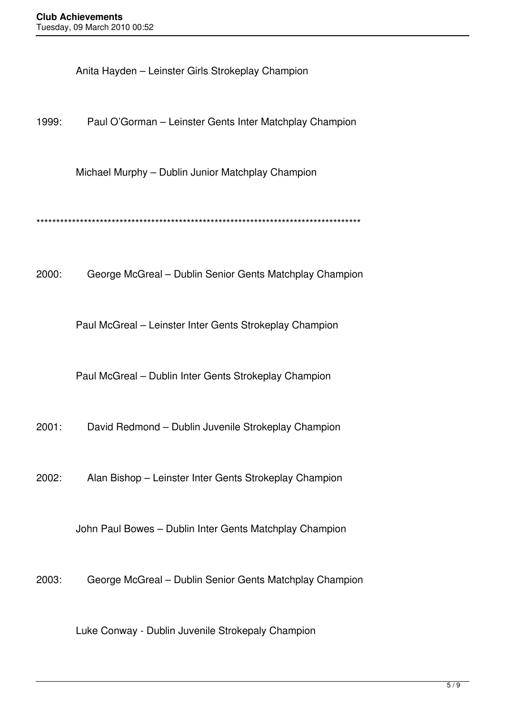Anita Hayden – Leinster Girls Strokeplay Champion

1999: Paul O'Gorman – Leinster Gents Inter Matchplay Champion

Michael Murphy – Dublin Junior Matchplay Champion

\*\*\*\*\*\*\*\*\*\*\*\*\*\*\*\*\*\*\*\*\*\*\*\*\*\*\*\*\*\*\*\*\*\*\*\*\*\*\*\*\*\*\*\*\*\*\*\*\*\*\*\*\*\*\*\*\*\*\*\*\*\*\*\*\*\*\*\*\*\*\*\*\*\*\*\*\*\*\*\*\*\*

2000: George McGreal – Dublin Senior Gents Matchplay Champion

Paul McGreal – Leinster Inter Gents Strokeplay Champion

Paul McGreal – Dublin Inter Gents Strokeplay Champion

2001: David Redmond – Dublin Juvenile Strokeplay Champion

2002: Alan Bishop – Leinster Inter Gents Strokeplay Champion

John Paul Bowes – Dublin Inter Gents Matchplay Champion

2003: George McGreal – Dublin Senior Gents Matchplay Champion

Luke Conway - Dublin Juvenile Strokepaly Champion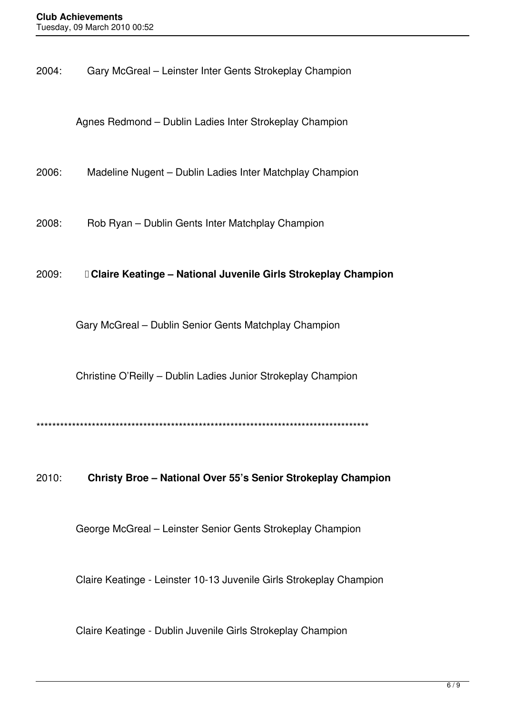2004: Gary McGreal – Leinster Inter Gents Strokeplay Champion

Agnes Redmond – Dublin Ladies Inter Strokeplay Champion

2006: Madeline Nugent – Dublin Ladies Inter Matchplay Champion

2008: Rob Ryan – Dublin Gents Inter Matchplay Champion

## 2009:  **Claire Keatinge – National Juvenile Girls Strokeplay Champion**

Gary McGreal – Dublin Senior Gents Matchplay Champion

Christine O'Reilly – Dublin Ladies Junior Strokeplay Champion

\*\*\*\*\*\*\*\*\*\*\*\*\*\*\*\*\*\*\*\*\*\*\*\*\*\*\*\*\*\*\*\*\*\*\*\*\*\*\*\*\*\*\*\*\*\*\*\*\*\*\*\*\*\*\*\*\*\*\*\*\*\*\*\*\*\*\*\*\*\*\*\*\*\*\*\*\*\*\*\*\*\*\*\*

## 2010: **Christy Broe – National Over 55's Senior Strokeplay Champion**

George McGreal – Leinster Senior Gents Strokeplay Champion

Claire Keatinge - Leinster 10-13 Juvenile Girls Strokeplay Champion

Claire Keatinge - Dublin Juvenile Girls Strokeplay Champion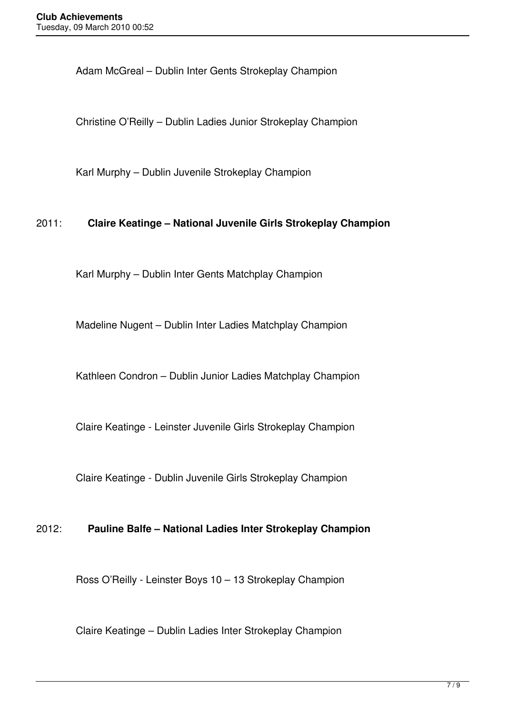Adam McGreal – Dublin Inter Gents Strokeplay Champion

Christine O'Reilly – Dublin Ladies Junior Strokeplay Champion

Karl Murphy – Dublin Juvenile Strokeplay Champion

## 2011: **Claire Keatinge – National Juvenile Girls Strokeplay Champion**

Karl Murphy – Dublin Inter Gents Matchplay Champion

Madeline Nugent – Dublin Inter Ladies Matchplay Champion

Kathleen Condron – Dublin Junior Ladies Matchplay Champion

Claire Keatinge - Leinster Juvenile Girls Strokeplay Champion

Claire Keatinge - Dublin Juvenile Girls Strokeplay Champion

## 2012: **Pauline Balfe – National Ladies Inter Strokeplay Champion**

Ross O'Reilly - Leinster Boys 10 – 13 Strokeplay Champion

Claire Keatinge – Dublin Ladies Inter Strokeplay Champion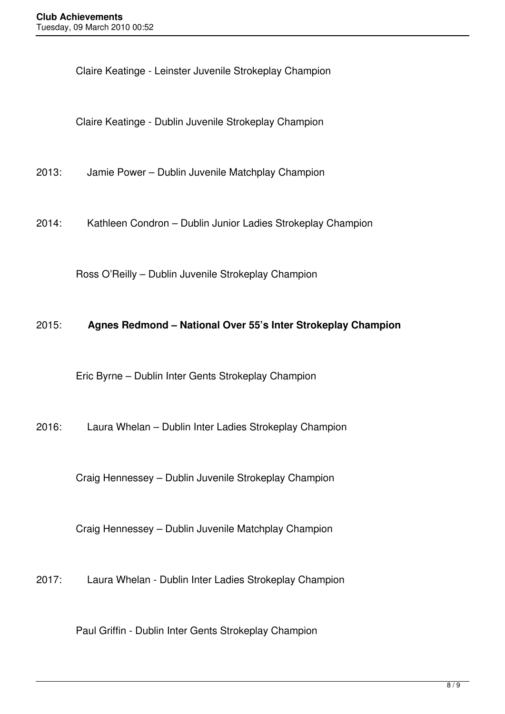Claire Keatinge - Leinster Juvenile Strokeplay Champion

Claire Keatinge - Dublin Juvenile Strokeplay Champion

2013: Jamie Power – Dublin Juvenile Matchplay Champion

2014: Kathleen Condron – Dublin Junior Ladies Strokeplay Champion

Ross O'Reilly – Dublin Juvenile Strokeplay Champion

## 2015: **Agnes Redmond – National Over 55's Inter Strokeplay Champion**

Eric Byrne – Dublin Inter Gents Strokeplay Champion

2016: Laura Whelan – Dublin Inter Ladies Strokeplay Champion

Craig Hennessey – Dublin Juvenile Strokeplay Champion

Craig Hennessey – Dublin Juvenile Matchplay Champion

2017: Laura Whelan - Dublin Inter Ladies Strokeplay Champion

Paul Griffin - Dublin Inter Gents Strokeplay Champion